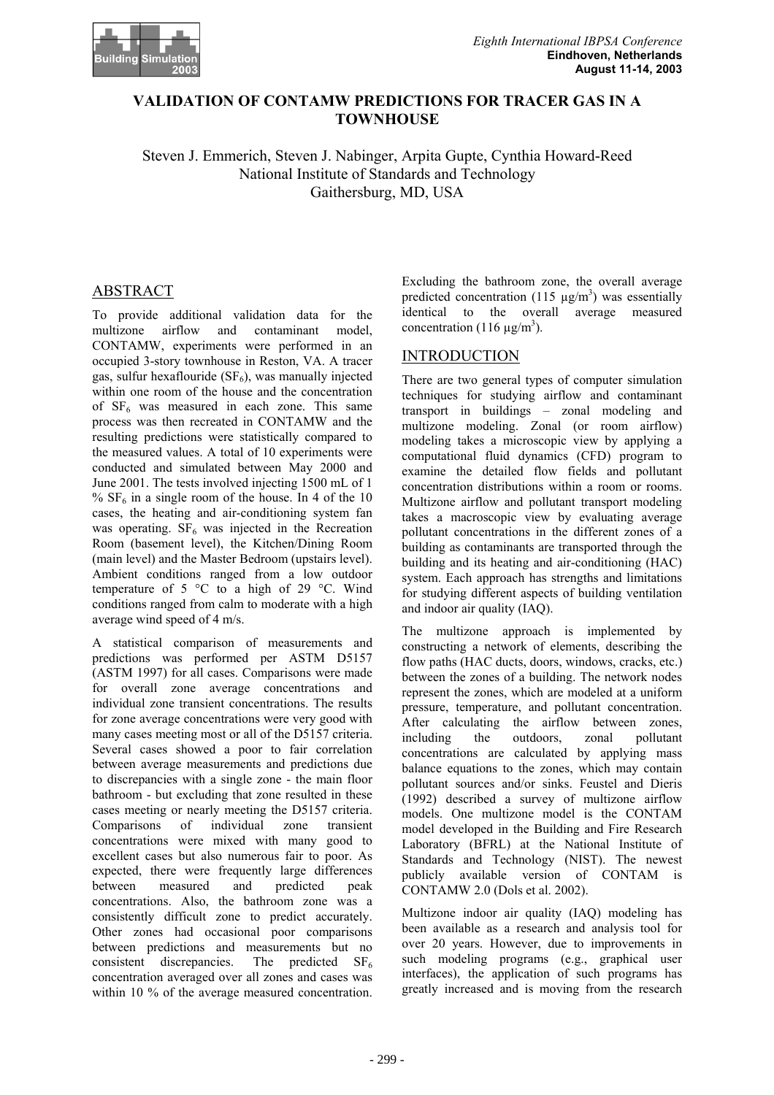

# **VALIDATION OF CONTAMW PREDICTIONS FOR TRACER GAS IN A TOWNHOUSE**

Steven J. Emmerich, Steven J. Nabinger, Arpita Gupte, Cynthia Howard-Reed National Institute of Standards and Technology Gaithersburg, MD, USA

# ABSTRACT

To provide additional validation data for the multizone airflow and contaminant model, CONTAMW, experiments were performed in an occupied 3-story townhouse in Reston, VA. A tracer gas, sulfur hexaflouride  $(SF_6)$ , was manually injected within one room of the house and the concentration of  $SF<sub>6</sub>$  was measured in each zone. This same process was then recreated in CONTAMW and the resulting predictions were statistically compared to the measured values. A total of 10 experiments were conducted and simulated between May 2000 and June 2001. The tests involved injecting 1500 mL of 1 %  $SF<sub>6</sub>$  in a single room of the house. In 4 of the 10 cases, the heating and air-conditioning system fan was operating.  $SF<sub>6</sub>$  was injected in the Recreation Room (basement level), the Kitchen/Dining Room (main level) and the Master Bedroom (upstairs level). Ambient conditions ranged from a low outdoor temperature of 5 °C to a high of 29 °C. Wind conditions ranged from calm to moderate with a high average wind speed of 4 m/s.

A statistical comparison of measurements and predictions was performed per ASTM D5157 (ASTM 1997) for all cases. Comparisons were made for overall zone average concentrations and individual zone transient concentrations. The results for zone average concentrations were very good with many cases meeting most or all of the D5157 criteria. Several cases showed a poor to fair correlation between average measurements and predictions due to discrepancies with a single zone - the main floor bathroom - but excluding that zone resulted in these cases meeting or nearly meeting the D5157 criteria. Comparisons of individual zone transient concentrations were mixed with many good to excellent cases but also numerous fair to poor. As expected, there were frequently large differences between measured and predicted peak concentrations. Also, the bathroom zone was a consistently difficult zone to predict accurately. Other zones had occasional poor comparisons between predictions and measurements but no consistent discrepancies. The predicted  $SF<sub>6</sub>$ concentration averaged over all zones and cases was within 10 % of the average measured concentration.

Excluding the bathroom zone, the overall average predicted concentration (115  $\mu$ g/m<sup>3</sup>) was essentially identical to the overall average measured concentration (116  $\mu$ g/m<sup>3</sup>).

# **INTRODUCTION**

There are two general types of computer simulation techniques for studying airflow and contaminant transport in buildings – zonal modeling and multizone modeling. Zonal (or room airflow) modeling takes a microscopic view by applying a computational fluid dynamics (CFD) program to examine the detailed flow fields and pollutant concentration distributions within a room or rooms. Multizone airflow and pollutant transport modeling takes a macroscopic view by evaluating average pollutant concentrations in the different zones of a building as contaminants are transported through the building and its heating and air-conditioning (HAC) system. Each approach has strengths and limitations for studying different aspects of building ventilation and indoor air quality (IAQ).

The multizone approach is implemented by constructing a network of elements, describing the flow paths (HAC ducts, doors, windows, cracks, etc.) between the zones of a building. The network nodes represent the zones, which are modeled at a uniform pressure, temperature, and pollutant concentration. After calculating the airflow between zones, including the outdoors, zonal pollutant concentrations are calculated by applying mass balance equations to the zones, which may contain pollutant sources and/or sinks. Feustel and Dieris (1992) described a survey of multizone airflow models. One multizone model is the CONTAM model developed in the Building and Fire Research Laboratory (BFRL) at the National Institute of Standards and Technology (NIST). The newest publicly available version of CONTAM is CONTAMW 2.0 (Dols et al. 2002).

Multizone indoor air quality (IAQ) modeling has been available as a research and analysis tool for over 20 years. However, due to improvements in such modeling programs (e.g., graphical user interfaces), the application of such programs has greatly increased and is moving from the research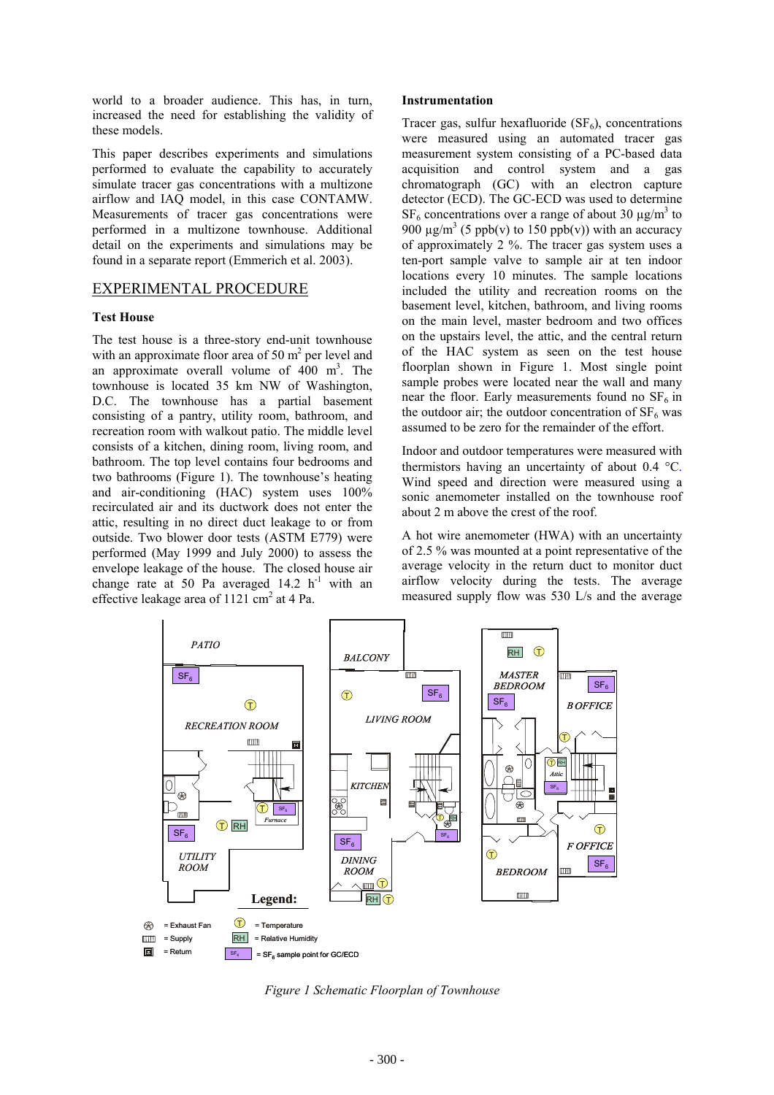world to a broader audience. This has, in turn, increased the need for establishing the validity of these models.

This paper describes experiments and simulations performed to evaluate the capability to accurately simulate tracer gas concentrations with a multizone airflow and IAQ model, in this case CONTAMW. Measurements of tracer gas concentrations were performed in a multizone townhouse. Additional detail on the experiments and simulations may be found in a separate report (Emmerich et al. 2003).

### EXPERIMENTAL PROCEDURE

### **Test House**

The test house is a three-story end-unit townhouse with an approximate floor area of 50  $m<sup>2</sup>$  per level and an approximate overall volume of  $400 \text{ m}^3$ . The townhouse is located 35 km NW of Washington, D.C. The townhouse has a partial basement consisting of a pantry, utility room, bathroom, and recreation room with walkout patio. The middle level consists of a kitchen, dining room, living room, and bathroom. The top level contains four bedrooms and two bathrooms (Figure 1). The townhouse's heating and air-conditioning (HAC) system uses 100% recirculated air and its ductwork does not enter the attic, resulting in no direct duct leakage to or from outside. Two blower door tests (ASTM E779) were performed (May 1999 and July 2000) to assess the envelope leakage of the house. The closed house air change rate at 50 Pa averaged  $14.2 h<sup>-1</sup>$  with an effective leakage area of  $1121 \text{ cm}^2$  at 4 Pa.

#### **Instrumentation**

Tracer gas, sulfur hexafluoride  $(SF_6)$ , concentrations were measured using an automated tracer gas measurement system consisting of a PC-based data acquisition and control system and a gas chromatograph (GC) with an electron capture detector (ECD). The GC-ECD was used to determine  $SF_6$  concentrations over a range of about 30  $\mu$ g/m<sup>3</sup> to 900  $\mu$ g/m<sup>3</sup> (5 ppb(v) to 150 ppb(v)) with an accuracy of approximately 2 %. The tracer gas system uses a ten-port sample valve to sample air at ten indoor locations every 10 minutes. The sample locations included the utility and recreation rooms on the basement level, kitchen, bathroom, and living rooms on the main level, master bedroom and two offices on the upstairs level, the attic, and the central return of the HAC system as seen on the test house floorplan shown in Figure 1. Most single point sample probes were located near the wall and many near the floor. Early measurements found no  $SF<sub>6</sub>$  in the outdoor air; the outdoor concentration of  $SF<sub>6</sub>$  was assumed to be zero for the remainder of the effort.

Indoor and outdoor temperatures were measured with thermistors having an uncertainty of about 0.4 °C. Wind speed and direction were measured using a sonic anemometer installed on the townhouse roof about 2 m above the crest of the roof.

A hot wire anemometer (HWA) with an uncertainty of 2.5 % was mounted at a point representative of the average velocity in the return duct to monitor duct airflow velocity during the tests. The average measured supply flow was 530 L/s and the average



*Figure 1 Schematic Floorplan of Townhouse*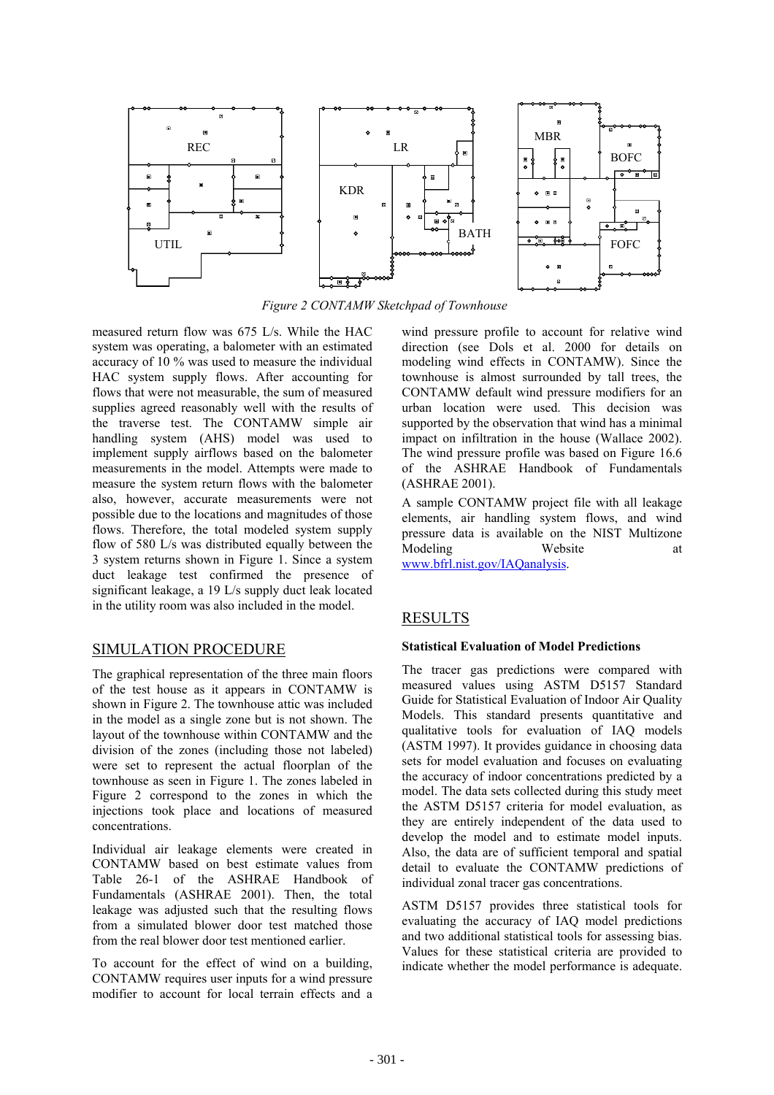

*Figure 2 CONTAMW Sketchpad of Townhouse* 

measured return flow was 675 L/s. While the HAC system was operating, a balometer with an estimated accuracy of 10 % was used to measure the individual HAC system supply flows. After accounting for flows that were not measurable, the sum of measured supplies agreed reasonably well with the results of the traverse test. The CONTAMW simple air handling system (AHS) model was used to implement supply airflows based on the balometer measurements in the model. Attempts were made to measure the system return flows with the balometer also, however, accurate measurements were not possible due to the locations and magnitudes of those flows. Therefore, the total modeled system supply flow of 580 L/s was distributed equally between the 3 system returns shown in Figure 1. Since a system duct leakage test confirmed the presence of significant leakage, a 19 L/s supply duct leak located in the utility room was also included in the model.

# SIMULATION PROCEDURE

The graphical representation of the three main floors of the test house as it appears in CONTAMW is shown in Figure 2. The townhouse attic was included in the model as a single zone but is not shown. The layout of the townhouse within CONTAMW and the division of the zones (including those not labeled) were set to represent the actual floorplan of the townhouse as seen in Figure 1. The zones labeled in Figure 2 correspond to the zones in which the injections took place and locations of measured concentrations.

Individual air leakage elements were created in CONTAMW based on best estimate values from Table 26-1 of the ASHRAE Handbook of Fundamentals (ASHRAE 2001). Then, the total leakage was adjusted such that the resulting flows from a simulated blower door test matched those from the real blower door test mentioned earlier.

To account for the effect of wind on a building, CONTAMW requires user inputs for a wind pressure modifier to account for local terrain effects and a

wind pressure profile to account for relative wind direction (see Dols et al. 2000 for details on modeling wind effects in CONTAMW). Since the townhouse is almost surrounded by tall trees, the CONTAMW default wind pressure modifiers for an urban location were used. This decision was supported by the observation that wind has a minimal impact on infiltration in the house (Wallace 2002). The wind pressure profile was based on Figure 16.6 of the ASHRAE Handbook of Fundamentals (ASHRAE 2001).

A sample CONTAMW project file with all leakage elements, air handling system flows, and wind pressure data is available on the NIST Multizone Modeling Website at www.bfrl.nist.gov/IAQanalysis.

# RESULTS

## **Statistical Evaluation of Model Predictions**

The tracer gas predictions were compared with measured values using ASTM D5157 Standard Guide for Statistical Evaluation of Indoor Air Quality Models. This standard presents quantitative and qualitative tools for evaluation of IAQ models (ASTM 1997). It provides guidance in choosing data sets for model evaluation and focuses on evaluating the accuracy of indoor concentrations predicted by a model. The data sets collected during this study meet the ASTM D5157 criteria for model evaluation, as they are entirely independent of the data used to develop the model and to estimate model inputs. Also, the data are of sufficient temporal and spatial detail to evaluate the CONTAMW predictions of individual zonal tracer gas concentrations.

ASTM D5157 provides three statistical tools for evaluating the accuracy of IAQ model predictions and two additional statistical tools for assessing bias. Values for these statistical criteria are provided to indicate whether the model performance is adequate.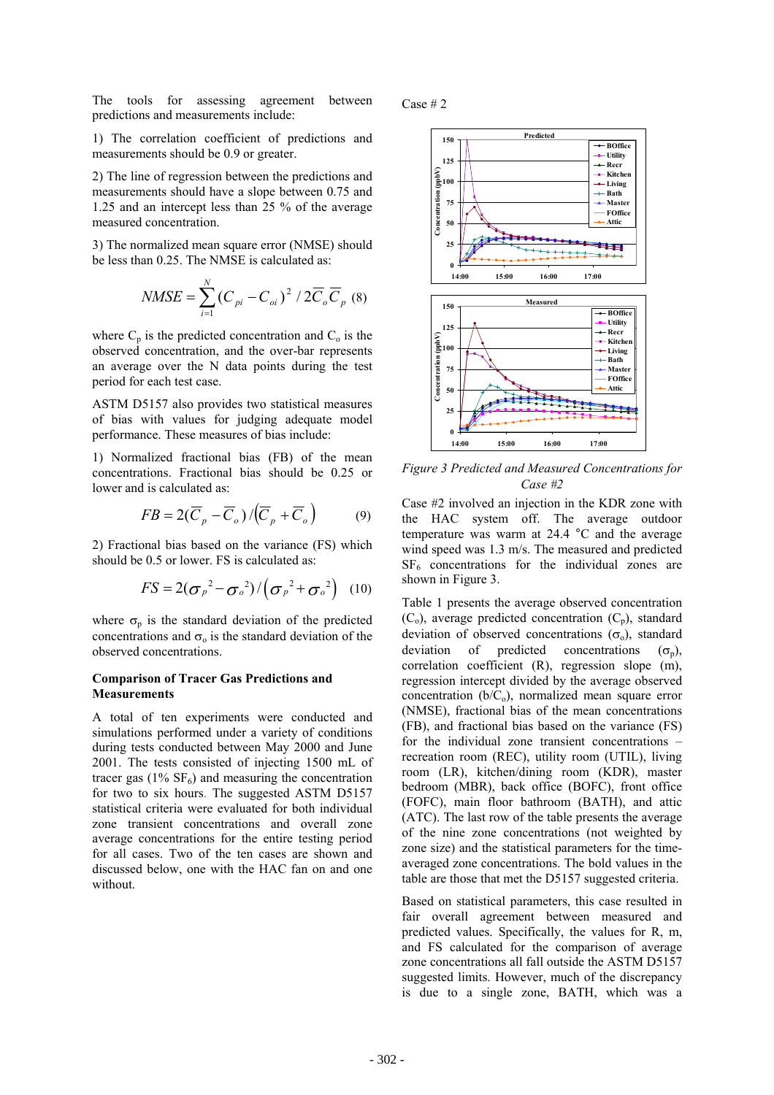The tools for assessing agreement between predictions and measurements include:

1) The correlation coefficient of predictions and measurements should be 0.9 or greater.

2) The line of regression between the predictions and measurements should have a slope between 0.75 and 1.25 and an intercept less than 25 % of the average measured concentration.

3) The normalized mean square error (NMSE) should be less than 0.25. The NMSE is calculated as:

$$
NMSE = \sum_{i=1}^{N} (C_{pi} - C_{oi})^{2} / 2 \overline{C}_{o} \overline{C}_{p} (8)
$$

where  $C_p$  is the predicted concentration and  $C_o$  is the observed concentration, and the over-bar represents an average over the N data points during the test period for each test case.

ASTM D5157 also provides two statistical measures of bias with values for judging adequate model performance. These measures of bias include:

1) Normalized fractional bias (FB) of the mean concentrations. Fractional bias should be 0.25 or lower and is calculated as:

$$
FB = 2(\overline{C}_p - \overline{C}_o) / (\overline{C}_p + \overline{C}_o)
$$
 (9)

2) Fractional bias based on the variance (FS) which should be 0.5 or lower. FS is calculated as:

$$
FS = 2(\sigma_p^2 - \sigma_o^2)/(\sigma_p^2 + \sigma_o^2)
$$
 (10)

where  $\sigma_p$  is the standard deviation of the predicted concentrations and  $\sigma_0$  is the standard deviation of the observed concentrations.

### **Comparison of Tracer Gas Predictions and Measurements**

A total of ten experiments were conducted and simulations performed under a variety of conditions during tests conducted between May 2000 and June 2001. The tests consisted of injecting 1500 mL of tracer gas  $(1\% SF_6)$  and measuring the concentration for two to six hours. The suggested ASTM D5157 statistical criteria were evaluated for both individual zone transient concentrations and overall zone average concentrations for the entire testing period for all cases. Two of the ten cases are shown and discussed below, one with the HAC fan on and one without.

 $Case # 2$ 



*Figure 3 Predicted and Measured Concentrations for Case #2* 

Case #2 involved an injection in the KDR zone with the HAC system off. The average outdoor temperature was warm at  $24.4 \degree C$  and the average wind speed was 1.3 m/s. The measured and predicted  $SF<sub>6</sub>$  concentrations for the individual zones are shown in Figure 3.

Table 1 presents the average observed concentration  $(C_0)$ , average predicted concentration  $(C_p)$ , standard deviation of observed concentrations  $(\sigma_0)$ , standard deviation of predicted concentrations  $(\sigma_n)$ , correlation coefficient (R), regression slope (m), regression intercept divided by the average observed concentration  $(b/C_0)$ , normalized mean square error (NMSE), fractional bias of the mean concentrations (FB), and fractional bias based on the variance (FS) for the individual zone transient concentrations – recreation room (REC), utility room (UTIL), living room (LR), kitchen/dining room (KDR), master bedroom (MBR), back office (BOFC), front office (FOFC), main floor bathroom (BATH), and attic (ATC). The last row of the table presents the average of the nine zone concentrations (not weighted by zone size) and the statistical parameters for the timeaveraged zone concentrations. The bold values in the table are those that met the D5157 suggested criteria.

Based on statistical parameters, this case resulted in fair overall agreement between measured and predicted values. Specifically, the values for R, m, and FS calculated for the comparison of average zone concentrations all fall outside the ASTM D5157 suggested limits. However, much of the discrepancy is due to a single zone, BATH, which was a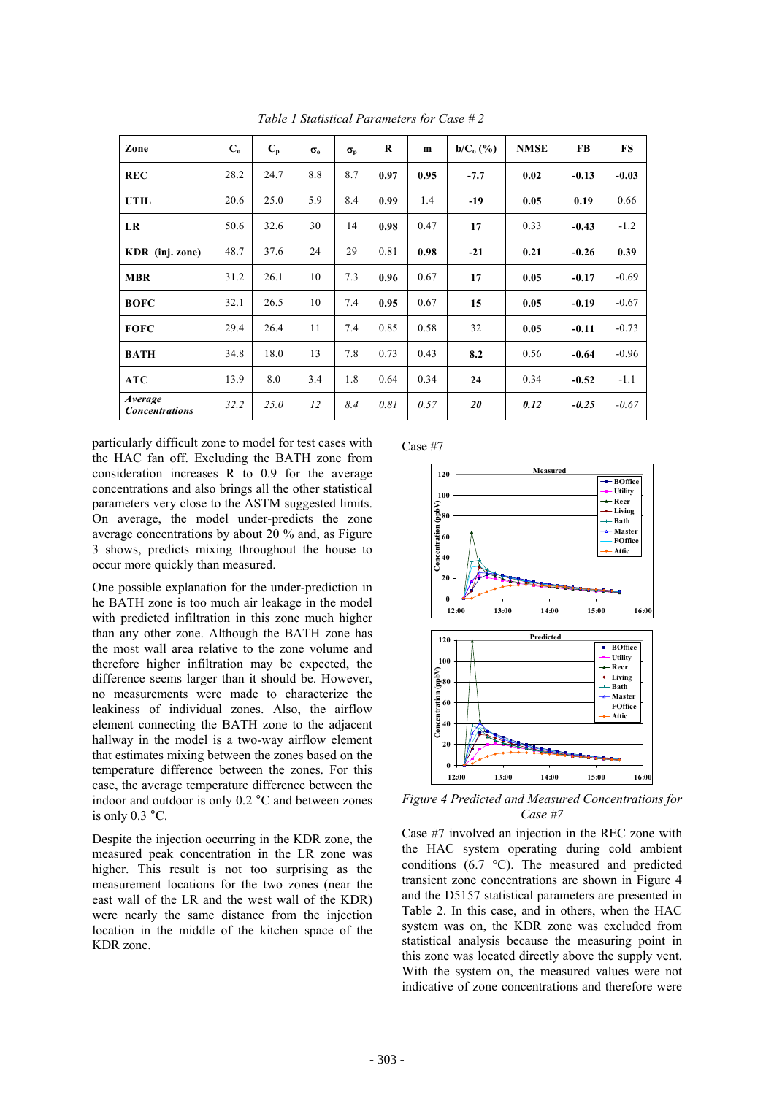| Zone                             | $C_{o}$ | $C_p$ | $\sigma_{o}$ | $\sigma_{p}$ | R    | m    | $b/C_0$ (%) | <b>NMSE</b> | <b>FB</b> | <b>FS</b> |
|----------------------------------|---------|-------|--------------|--------------|------|------|-------------|-------------|-----------|-----------|
| <b>REC</b>                       | 28.2    | 24.7  | 8.8          | 8.7          | 0.97 | 0.95 | $-7.7$      | 0.02        | $-0.13$   | $-0.03$   |
| <b>UTIL</b>                      | 20.6    | 25.0  | 5.9          | 8.4          | 0.99 | 1.4  | $-19$       | 0.05        | 0.19      | 0.66      |
| LR                               | 50.6    | 32.6  | 30           | 14           | 0.98 | 0.47 | 17          | 0.33        | $-0.43$   | $-1.2$    |
| KDR (inj. zone)                  | 48.7    | 37.6  | 24           | 29           | 0.81 | 0.98 | $-21$       | 0.21        | $-0.26$   | 0.39      |
| <b>MBR</b>                       | 31.2    | 26.1  | 10           | 7.3          | 0.96 | 0.67 | 17          | 0.05        | $-0.17$   | $-0.69$   |
| <b>BOFC</b>                      | 32.1    | 26.5  | 10           | 7.4          | 0.95 | 0.67 | 15          | 0.05        | $-0.19$   | $-0.67$   |
| <b>FOFC</b>                      | 29.4    | 26.4  | 11           | 7.4          | 0.85 | 0.58 | 32          | 0.05        | $-0.11$   | $-0.73$   |
| <b>BATH</b>                      | 34.8    | 18.0  | 13           | 7.8          | 0.73 | 0.43 | 8.2         | 0.56        | $-0.64$   | $-0.96$   |
| <b>ATC</b>                       | 13.9    | 8.0   | 3.4          | 1.8          | 0.64 | 0.34 | 24          | 0.34        | $-0.52$   | $-1.1$    |
| Average<br><b>Concentrations</b> | 32.2    | 25.0  | 12           | 8.4          | 0.81 | 0.57 | 20          | 0.12        | $-0.25$   | $-0.67$   |

*Table 1 Statistical Parameters for Case # 2*

particularly difficult zone to model for test cases with the HAC fan off. Excluding the BATH zone from consideration increases R to 0.9 for the average concentrations and also brings all the other statistical parameters very close to the ASTM suggested limits. On average, the model under-predicts the zone average concentrations by about 20 % and, as Figure 3 shows, predicts mixing throughout the house to occur more quickly than measured.

One possible explanation for the under-prediction in he BATH zone is too much air leakage in the model with predicted infiltration in this zone much higher than any other zone. Although the BATH zone has the most wall area relative to the zone volume and therefore higher infiltration may be expected, the difference seems larger than it should be. However, no measurements were made to characterize the leakiness of individual zones. Also, the airflow element connecting the BATH zone to the adjacent hallway in the model is a two-way airflow element that estimates mixing between the zones based on the temperature difference between the zones. For this case, the average temperature difference between the indoor and outdoor is only 0.2 °C and between zones is only 0.3 °C.

Despite the injection occurring in the KDR zone, the measured peak concentration in the LR zone was higher. This result is not too surprising as the measurement locations for the two zones (near the east wall of the LR and the west wall of the KDR) were nearly the same distance from the injection location in the middle of the kitchen space of the KDR zone.





*Figure 4 Predicted and Measured Concentrations for Case #7* 

Case #7 involved an injection in the REC zone with the HAC system operating during cold ambient conditions (6.7 °C). The measured and predicted transient zone concentrations are shown in Figure 4 and the D5157 statistical parameters are presented in Table 2. In this case, and in others, when the HAC system was on, the KDR zone was excluded from statistical analysis because the measuring point in this zone was located directly above the supply vent. With the system on, the measured values were not indicative of zone concentrations and therefore were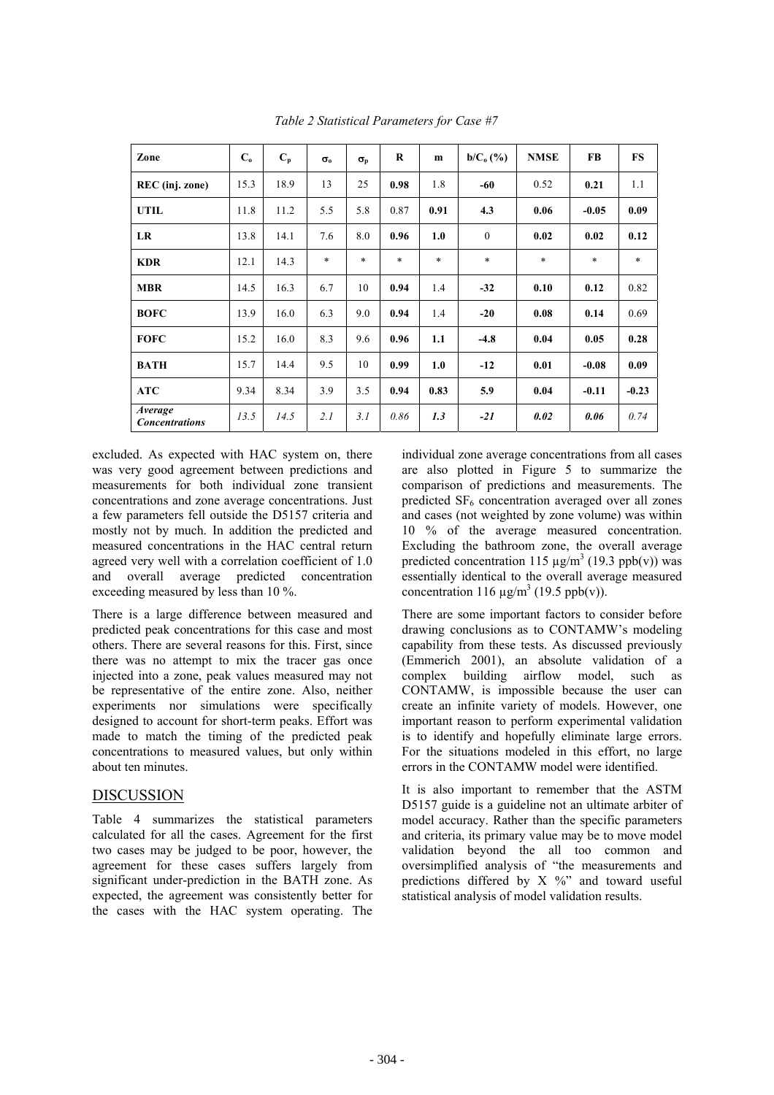| Zone                             | $C_{0}$ | $C_p$ | $\sigma_{o}$ | $\sigma_{p}$ | $\bf{R}$ | m      | $b/C_0$ (%)  | <b>NMSE</b> | FB      | <b>FS</b> |
|----------------------------------|---------|-------|--------------|--------------|----------|--------|--------------|-------------|---------|-----------|
| REC (inj. zone)                  | 15.3    | 18.9  | 13           | 25           | 0.98     | 1.8    | -60          | 0.52        | 0.21    | 1.1       |
| <b>UTIL</b>                      | 11.8    | 11.2  | 5.5          | 5.8          | 0.87     | 0.91   | 4.3          | 0.06        | $-0.05$ | 0.09      |
| LR                               | 13.8    | 14.1  | 7.6          | 8.0          | 0.96     | 1.0    | $\mathbf{0}$ | 0.02        | 0.02    | 0.12      |
| <b>KDR</b>                       | 12.1    | 14.3  | $\ast$       | $\ast$       | $\ast$   | $\ast$ | *            | $\ast$      | $\ast$  | *         |
| <b>MBR</b>                       | 14.5    | 16.3  | 6.7          | 10           | 0.94     | 1.4    | $-32$        | 0.10        | 0.12    | 0.82      |
| <b>BOFC</b>                      | 13.9    | 16.0  | 6.3          | 9.0          | 0.94     | 1.4    | $-20$        | 0.08        | 0.14    | 0.69      |
| <b>FOFC</b>                      | 15.2    | 16.0  | 8.3          | 9.6          | 0.96     | 1.1    | $-4.8$       | 0.04        | 0.05    | 0.28      |
| <b>BATH</b>                      | 15.7    | 14.4  | 9.5          | 10           | 0.99     | 1.0    | $-12$        | 0.01        | $-0.08$ | 0.09      |
| <b>ATC</b>                       | 9.34    | 8.34  | 3.9          | 3.5          | 0.94     | 0.83   | 5.9          | 0.04        | $-0.11$ | $-0.23$   |
| Average<br><b>Concentrations</b> | 13.5    | 14.5  | 2.1          | 3.1          | 0.86     | 1.3    | $-21$        | 0.02        | 0.06    | 0.74      |

*Table 2 Statistical Parameters for Case #7*

excluded. As expected with HAC system on, there was very good agreement between predictions and measurements for both individual zone transient concentrations and zone average concentrations. Just a few parameters fell outside the D5157 criteria and mostly not by much. In addition the predicted and measured concentrations in the HAC central return agreed very well with a correlation coefficient of 1.0 and overall average predicted concentration exceeding measured by less than 10 %.

There is a large difference between measured and predicted peak concentrations for this case and most others. There are several reasons for this. First, since there was no attempt to mix the tracer gas once injected into a zone, peak values measured may not be representative of the entire zone. Also, neither experiments nor simulations were specifically designed to account for short-term peaks. Effort was made to match the timing of the predicted peak concentrations to measured values, but only within about ten minutes.

## DISCUSSION

Table 4 summarizes the statistical parameters calculated for all the cases. Agreement for the first two cases may be judged to be poor, however, the agreement for these cases suffers largely from significant under-prediction in the BATH zone. As expected, the agreement was consistently better for the cases with the HAC system operating. The

individual zone average concentrations from all cases are also plotted in Figure 5 to summarize the comparison of predictions and measurements. The predicted  $SF<sub>6</sub>$  concentration averaged over all zones and cases (not weighted by zone volume) was within 10 % of the average measured concentration. Excluding the bathroom zone, the overall average predicted concentration 115  $\mu$ g/m<sup>3</sup> (19.3 ppb(v)) was essentially identical to the overall average measured concentration 116  $\mu$ g/m<sup>3</sup> (19.5 ppb(v)).

There are some important factors to consider before drawing conclusions as to CONTAMW's modeling capability from these tests. As discussed previously (Emmerich 2001), an absolute validation of a complex building airflow model, such as CONTAMW, is impossible because the user can create an infinite variety of models. However, one important reason to perform experimental validation is to identify and hopefully eliminate large errors. For the situations modeled in this effort, no large errors in the CONTAMW model were identified.

It is also important to remember that the ASTM D5157 guide is a guideline not an ultimate arbiter of model accuracy. Rather than the specific parameters and criteria, its primary value may be to move model validation beyond the all too common and oversimplified analysis of "the measurements and predictions differed by  $X \frac{9}{9}$  and toward useful statistical analysis of model validation results.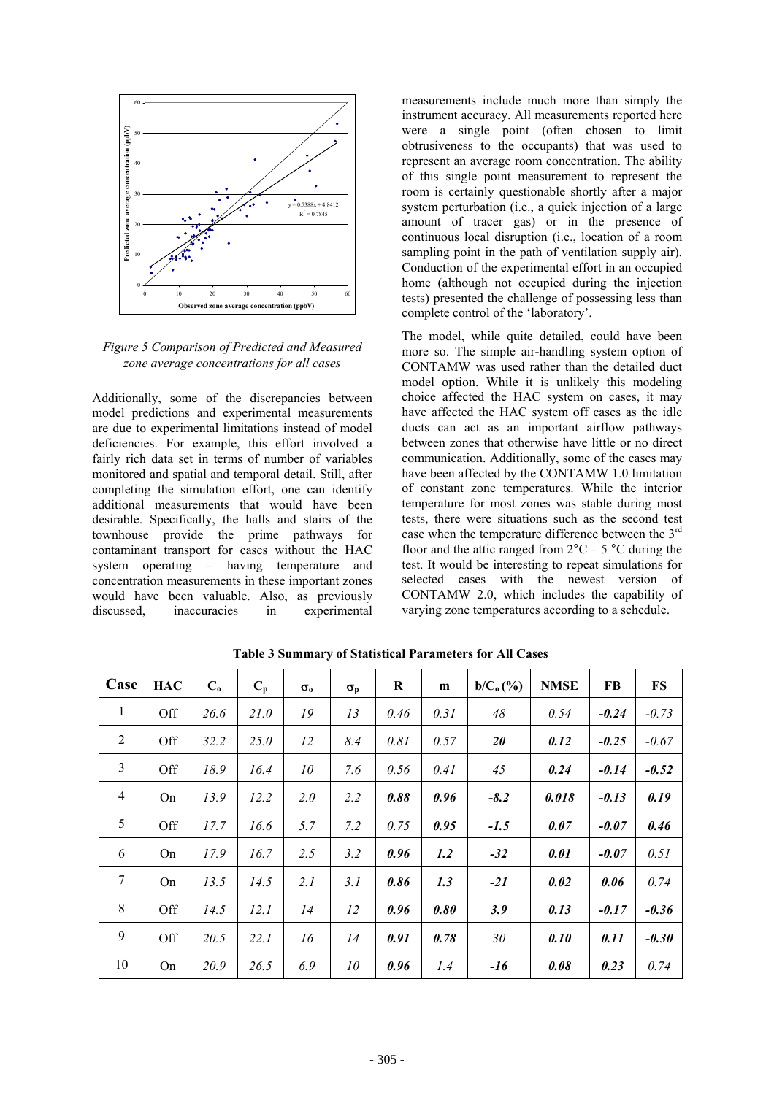

*Figure 5 Comparison of Predicted and Measured zone average concentrations for all cases* 

Additionally, some of the discrepancies between model predictions and experimental measurements are due to experimental limitations instead of model deficiencies. For example, this effort involved a fairly rich data set in terms of number of variables monitored and spatial and temporal detail. Still, after completing the simulation effort, one can identify additional measurements that would have been desirable. Specifically, the halls and stairs of the townhouse provide the prime pathways for contaminant transport for cases without the HAC system operating – having temperature and concentration measurements in these important zones would have been valuable. Also, as previously discussed, inaccuracies in experimental

measurements include much more than simply the instrument accuracy. All measurements reported here were a single point (often chosen to limit obtrusiveness to the occupants) that was used to represent an average room concentration. The ability of this single point measurement to represent the room is certainly questionable shortly after a major system perturbation (i.e., a quick injection of a large amount of tracer gas) or in the presence of continuous local disruption (i.e., location of a room sampling point in the path of ventilation supply air). Conduction of the experimental effort in an occupied home (although not occupied during the injection tests) presented the challenge of possessing less than complete control of the 'laboratory'.

The model, while quite detailed, could have been more so. The simple air-handling system option of CONTAMW was used rather than the detailed duct model option. While it is unlikely this modeling choice affected the HAC system on cases, it may have affected the HAC system off cases as the idle ducts can act as an important airflow pathways between zones that otherwise have little or no direct communication. Additionally, some of the cases may have been affected by the CONTAMW 1.0 limitation of constant zone temperatures. While the interior temperature for most zones was stable during most tests, there were situations such as the second test case when the temperature difference between the 3<sup>rd</sup> floor and the attic ranged from  $2^{\circ}$ C – 5  $^{\circ}$ C during the test. It would be interesting to repeat simulations for selected cases with the newest version of CONTAMW 2.0, which includes the capability of varying zone temperatures according to a schedule.

| Case | <b>HAC</b> | $C_{o}$ | $C_p$       | $\sigma_{o}$ | $\sigma_{\rm p}$ | R    | m    | $b/C_0(\%)$ | <b>NMSE</b> | FB      | <b>FS</b> |
|------|------------|---------|-------------|--------------|------------------|------|------|-------------|-------------|---------|-----------|
| 1    | Off        | 26.6    | <i>21.0</i> | 19           | 13               | 0.46 | 0.31 | 48          | 0.54        | $-0.24$ | $-0.73$   |
| 2    | Off        | 32.2    | 25.0        | 12           | 8.4              | 0.81 | 0.57 | <b>20</b>   | 0.12        | $-0.25$ | $-0.67$   |
| 3    | Off        | 18.9    | 16.4        | 10           | 7.6              | 0.56 | 0.41 | 45          | 0.24        | $-0.14$ | $-0.52$   |
| 4    | On         | 13.9    | 12.2        | 2.0          | 2.2              | 0.88 | 0.96 | $-8.2$      | 0.018       | $-0.13$ | 0.19      |
| 5    | Off        | 17.7    | 16.6        | 5.7          | 7.2              | 0.75 | 0.95 | $-1.5$      | 0.07        | $-0.07$ | 0.46      |
| 6    | On         | 17.9    | 16.7        | 2.5          | 3.2              | 0.96 | 1.2  | $-32$       | 0.01        | $-0.07$ | 0.51      |
| 7    | On         | 13.5    | 14.5        | 2.1          | 3.1              | 0.86 | 1.3  | $-21$       | 0.02        | 0.06    | 0.74      |
| 8    | Off        | 14.5    | 12.1        | 14           | 12               | 0.96 | 0.80 | 3.9         | 0.13        | $-0.17$ | $-0.36$   |
| 9    | Off        | 20.5    | 22.1        | 16           | 14               | 0.91 | 0.78 | 30          | 0.10        | 0.11    | $-0.30$   |
| 10   | On         | 20.9    | 26.5        | 6.9          | 10               | 0.96 | 1.4  | -16         | 0.08        | 0.23    | 0.74      |

**Table 3 Summary of Statistical Parameters for All Cases**